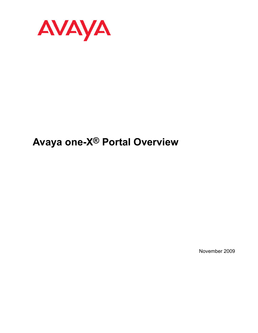

# **Avaya one-X® Portal Overview**

November 2009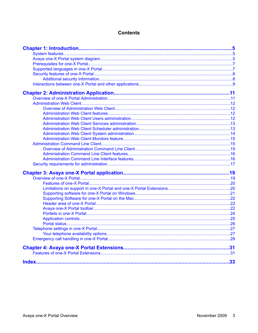#### **Contents**

| .33 |
|-----|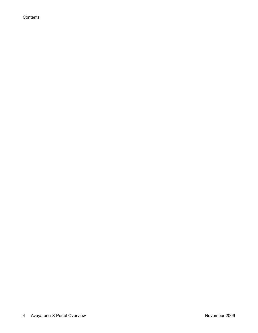**Contents**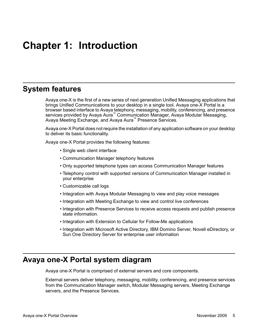# <span id="page-4-0"></span>**Chapter 1: Introduction**

# **System features**

Avaya one-X is the first of a new series of next generation Unified Messaging applications that brings Unified Communications to your desktop in a single tool. Avaya one-X Portal is a browser based interface to Avaya telephony, messaging, mobility, conferencing, and presence services provided by Avaya Aura™ Communication Manager, Avaya Modular Messaging, Avaya Meeting Exchange, and Avaya Aura™ Presence Services.

Avaya one-X Portal does not require the installation of any application software on your desktop to deliver its basic functionality.

Avaya one-X Portal provides the following features:

- Single web client interface
- Communication Manager telephony features
- Only supported telephone types can access Communication Manager features
- Telephony control with supported versions of Communication Manager installed in your enterprise
- Customizable call logs
- Integration with Avaya Modular Messaging to view and play voice messages
- Integration with Meeting Exchange to view and control live conferences
- Integration with Presence Services to receive access requests and publish presence state information.
- Integration with Extension to Cellular for Follow-Me applications
- Integration with Microsoft Active Directory, IBM Domino Server, Novell eDirectory, or Sun One Directory Server for enterprise user information

# **Avaya one-X Portal system diagram**

Avaya one-X Portal is comprised of external servers and core components.

External servers deliver telephony, messaging, mobility, conferencing, and presence services from the Communication Manager switch, Modular Messaging servers, Meeting Exchange servers, and the Presence Services.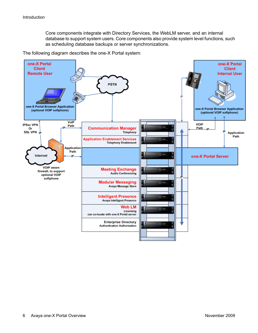Core components integrate with Directory Services, the WebLM server, and an internal database to support system users. Core components also provide system level functions, such as scheduling database backups or server synchronizations.

The following diagram describes the one-X Portal system:

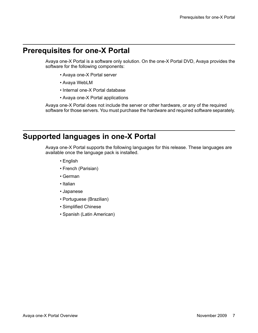# <span id="page-6-0"></span>**Prerequisites for one-X Portal**

Avaya one-X Portal is a software only solution. On the one-X Portal DVD, Avaya provides the software for the following components:

- Avaya one-X Portal server
- Avaya WebLM
- Internal one-X Portal database
- Avaya one-X Portal applications

Avaya one-X Portal does not include the server or other hardware, or any of the required software for those servers. You must purchase the hardware and required software separately.

# **Supported languages in one-X Portal**

Avaya one-X Portal supports the following languages for this release. These languages are available once the language pack is installed.

- English
- French (Parisian)
- German
- Italian
- Japanese
- Portuguese (Brazilian)
- Simplified Chinese
- Spanish (Latin American)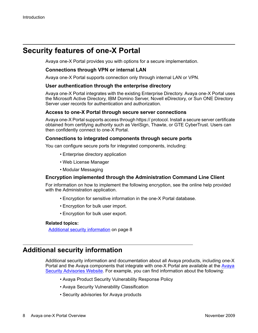# <span id="page-7-0"></span>**Security features of one-X Portal**

Avaya one-X Portal provides you with options for a secure implementation.

#### **Connections through VPN or internal LAN**

Avaya one-X Portal supports connection only through internal LAN or VPN.

#### **User authentication through the enterprise directory**

Avaya one-X Portal integrates with the existing Enterprise Directory. Avaya one-X Portal uses the Microsoft Active Directory, IBM Domino Server, Novell eDirectory, or Sun ONE Directory Server user records for authentication and authorization.

#### **Access to one-X Portal through secure server connections**

Avaya one-X Portal supports access through https:// protocol. Install a secure server certificate obtained from certifying authority such as VeriSign, Thawte, or GTE CyberTrust. Users can then confidently connect to one-X Portal.

#### **Connections to integrated components through secure ports**

You can configure secure ports for integrated components, including:

- Enterprise directory application
- Web License Manager
- Modular Messaging

#### **Encryption implemented through the Administration Command Line Client**

For information on how to implement the following encryption, see the online help provided with the Administration application.

- Encryption for sensitive information in the one-X Portal database.
- Encryption for bulk user import.
- Encryption for bulk user export.

#### **Related topics:**

Additional security information on page 8

# **Additional security information**

Additional security information and documentation about all Avaya products, including one-X Portal and the [Avaya](http://support.avaya.com/security) components that integrate with one-X Portal are available at the Avaya Security [Advisories](http://support.avaya.com/security) Website. For example, you can find information about the following:

- Avaya Product Security Vulnerability Response Policy
- Avaya Security Vulnerability Classification
- Security advisories for Avaya products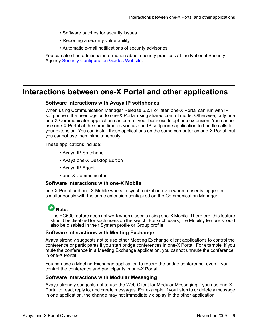- <span id="page-8-0"></span>• Software patches for security issues
- Reporting a security vulnerability
- Automatic e-mail notifications of security advisories

You can also find additional information about security practices at the National Security Agency Security [Configuration](http://www.nsa.gov/snac/) Guides Website.

# **Interactions between one-X Portal and other applications**

#### **Software interactions with Avaya IP softphones**

When using Communication Manager Release 5.2.1 or later, one-X Portal can run with IP softphone if the user logs on to one-X Portal using shared control mode. Otherwise, only one one-X Communicator application can control your business telephone extension. You cannot use one-X Portal at the same time as you use an IP softphone application to handle calls to your extension. You can install these applications on the same computer as one-X Portal, but you cannot use them simultaneously.

These applications include:

- Avaya IP Softphone
- Avaya one-X Desktop Edition
- Avaya IP Agent
- one-X Communicator

#### **Software interactions with one-X Mobile**

one-X Portal and one-X Mobile works in synchronization even when a user is logged in simultaneously with the same extension configured on the Communication Manager.

# $\bullet$  Note:

The EC500 feature does not work when a user is using one-X Mobile. Therefore, this feature should be disabled for such users on the switch. For such users, the Mobility feature should also be disabled in their System profile or Group profile.

#### **Software interactions with Meeting Exchange**

Avaya strongly suggests not to use other Meeting Exchange client applications to control the conference or participants if you start bridge conferences in one-X Portal. For example, if you mute the conference in a Meeting Exchange application, you cannot unmute the conference in one-X Portal.

You can use a Meeting Exchange application to record the bridge conference, even if you control the conference and participants in one-X Portal.

#### **Software interactions with Modular Messaging**

Avaya strongly suggests not to use the Web Client for Modular Messaging if you use one-X Portal to read, reply to, and create messages. For example, if you listen to or delete a message in one application, the change may not immediately display in the other application.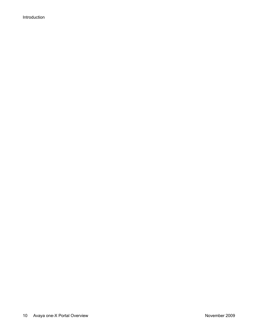Introduction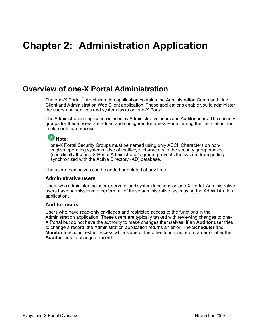# <span id="page-10-0"></span>**Chapter 2: Administration Application**

# **Overview of one-X Portal Administration**

The one-X Portal ™Administration application contains the Administration Command Line Client and Administration Web Client application. These applications enable you to administer the users and services and system tasks on one-X Portal.

The Administration application is used by Administrative users and Auditor users. The security groups for these users are added and configured for one-X Portal during the installation and implementation process.

### **Note:**

one-X Portal Security Groups must be named using only ASCII Characters on nonenglish operating systems. Use of multi-byte characters in the security group names (specifically the one-X Portal Administrator's group) prevents the system from getting synchronized with the Active Directory (AD) database.

The users themselves can be added or deleted at any time.

#### **Administrative users**

Users who administer the users, servers, and system functions on one-X Portal. Administrative users have permissions to perform all of these administrative tasks using the Administration application.

#### **Auditor users**

Users who have read-only privileges and restricted access to the functions in the Administration application. These users are typically tasked with reviewing changes to one-X Portal but do not have the authority to make changes themselves. If an **Auditor** user tries to change a record, the Administration application returns an error. The **Scheduler** and **Monitor** functions restrict access while some of the other functions return an error after the **Auditor** tries to change a record.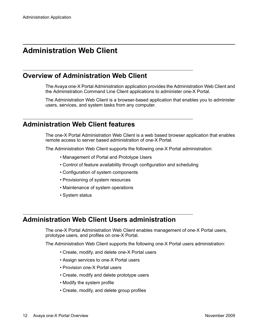# <span id="page-11-0"></span>**Administration Web Client**

# **Overview of Administration Web Client**

The Avaya one-X Portal Administration application provides the Administration Web Client and the Administration Command Line Client applications to administer one-X Portal.

The Administration Web Client is a browser-based application that enables you to administer users, services, and system tasks from any computer.

# **Administration Web Client features**

The one-X Portal Administration Web Client is a web based browser application that enables remote access to server based administration of one-X Portal.

The Administration Web Client supports the following one-X Portal administration:

- Management of Portal and Prototype Users
- Control of feature availability through configuration and scheduling
- Configuration of system components
- Provisioning of system resources
- Maintenance of system operations
- System status

# **Administration Web Client Users administration**

The one-X Portal Administration Web Client enables management of one-X Portal users, prototype users, and profiles on one-X Portal.

The Administration Web Client supports the following one-X Portal users administration:

- Create, modify, and delete one-X Portal users
- Assign services to one-X Portal users
- Provision one-X Portal users
- Create, modify and delete prototype users
- Modify the system profile
- Create, modify, and delete group profiles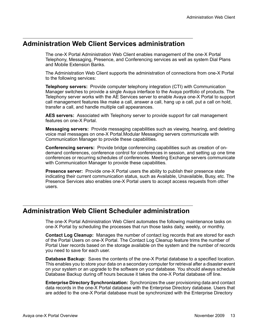# <span id="page-12-0"></span>**Administration Web Client Services administration**

The one-X Portal Administration Web Client enables management of the one-X Portal Telephony, Messaging, Presence, and Conferencing services as well as system Dial Plans and Mobile Extension Banks.

The Administration Web Client supports the administration of connections from one-X Portal to the following services:

**Telephony servers:** Provide computer telephony integration (CTI) with Communication Manager switches to provide a single Avaya interface to the Avaya portfolio of products. The Telephony server works with the AE Services server to enable Avaya one-X Portal to support call management features like make a call, answer a call, hang up a call, put a call on hold, transfer a call, and handle multiple call appearances.

**AES servers:** Associated with Telephony server to provide support for call management features on one-X Portal.

**Messaging servers:** Provide messaging capabilities such as viewing, hearing, and deleting voice mail messages on one-X Portal.Modular Messaging servers communicate with Communication Manager to provide these capabilities.

**Conferencing servers:** Provide bridge conferencing capabilities such as creation of ondemand conferences, conference control for conferences in session, and setting up one time conferences or recurring schedules of conferences. Meeting Exchange servers communicate with Communication Manager to provide these capabilities.

**Presence server:** Provide one-X Portal users the ability to publish their presence state indicating their current communication status, such as Available, Unavailable, Busy, etc. The Presence Services also enables one-X Portal users to accept access requests from other users.

# **Administration Web Client Scheduler administration**

The one-X Portal Administration Web Client automates the following maintenance tasks on one-X Portal by scheduling the processes that run those tasks daily, weekly, or monthly.

**Contact Log Cleanup:** Manages the number of contact log records that are stored for each of the Portal Users on one-X Portal. The Contact Log Cleanup feature trims the number of Portal User records based on the storage available on the system and the number of records you need to save for each user.

**Database Backup:** Saves the contents of the one-X Portal database to a specified location. This enables you to store your data on a secondary computer for retrieval after a disaster event on your system or an upgrade to the software on your database. You should always schedule Database Backup during off hours because it takes the one-X Portal database off line.

**Enterprise Directory Synchronization:** Synchronizes the user provisioning data and contact data records in the one-X Portal database with the Enterprise Directory database. Users that are added to the one-X Portal database must be synchronized with the Enterprise Directory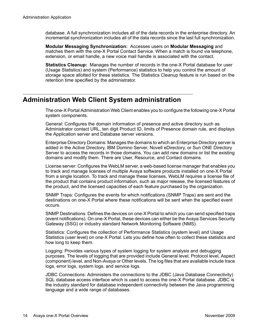<span id="page-13-0"></span>database. A full synchronization includes all of the data records in the enterprise directory. An incremental synchronization includes all of the data records since the last full synchronization.

**Modular Messaging Synchronization:** Accesses users on **Modular Messaging** and matches them with the one-X Portal Contact Service. When a match is found via telephone, extension, or email handle, a new voice mail handle is associated with the contact.

**Statistics Cleanup:** Manages the number of records in the one-X Portal database for user (Usage Statistics) and system (Performance) statistics to help you control the amount of storage space allotted for these statistics. The Statistics Cleanup feature is run based on the retention time specified by the administrator.

# **Administration Web Client System administration**

The one-X Portal Administration Web Client enables you to configure the following one-X Portal system components.

General: Configures the domain information of presence and active directory such as Administrator contact URL, ten digit Product ID, limits of Presence domain rule, and displays the Application server and Database server versions.

Enterprise Directory Domains: Manages the domains to which an Enterprise Directory server is added in the Active Directory, IBM Domino Server, Novell eDirectory, or Sun ONE Directory Server to access the records in those domains. You can add new domains or list the existing domains and modify them. There are User, Resource, and Contact domains.

License server: Configures the WebLM server, a web-based license manager that enables you to track and manage licenses of multiple Avaya software products installed on one-X Portal from a single location. To track and manage these licenses, WebLM requires a license file of the product that contains product information, such as major release, the licensed features of the product, and the licensed capacities of each feature purchased by the organization.

SNMP Traps: Configures the events for which notifications (SNMP Traps) are sent and the destinations on one-X Portal where these notifications will be sent when the specified event occurs.

SNMP Destinations: Defines the devices on one-X Portal to which you can send specified traps (event notifications). On one-X Portal, these devices can either be the Avaya Services Security Gateway (SSG) or industry standard Network Monitoring Software (NMS).

Statistics: Configures the collection of Performance Statistics (system level) and Usage Statistics (user level) on one-X Portal. Lets you define how often to collect these statistics and how long to keep them.

Logging: Provides various types of system logging for system analysis and debugging purposes. The levels of logging that are provided include General level, Protocol level, Aspect (component) level, and Non-Avaya or Other levels. The log files that are available include trace logs, error logs, system logs, and service logs.

JDBC Connections: Administers the connections to the JDBC (Java Database Connectivity) SQL database access interface which is used to access the one-X Portal database. JDBC is the industry standard for database independent connectivity between the Java programming language and a wide range of databases.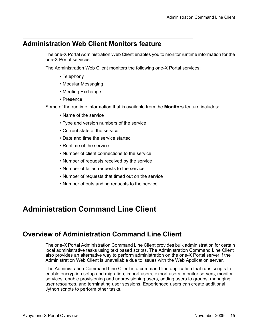# <span id="page-14-0"></span>**Administration Web Client Monitors feature**

The one-X Portal Administration Web Client enables you to monitor runtime information for the one-X Portal services.

The Administration Web Client monitors the following one-X Portal services:

- Telephony
- Modular Messaging
- Meeting Exchange
- Presence

Some of the runtime information that is available from the **Monitors** feature includes:

- Name of the service
- Type and version numbers of the service
- Current state of the service
- Date and time the service started
- Runtime of the service
- Number of client connections to the service
- Number of requests received by the service
- Number of failed requests to the service
- Number of requests that timed out on the service
- Number of outstanding requests to the service

# **Administration Command Line Client**

# **Overview of Administration Command Line Client**

The one-X Portal Administration Command Line Client provides bulk administration for certain local administrative tasks using text based scripts. The Administration Command Line Client also provides an alternative way to perform administration on the one-X Portal server if the Administration Web Client is unavailable due to issues with the Web Application server.

The Administration Command Line Client is a command line application that runs scripts to enable encryption setup and migration, import users, export users, monitor servers, monitor services, enable provisioning and unprovisioning users, adding users to groups, managing user resources, and terminating user sessions. Experienced users can create additional Jython scripts to perform other tasks.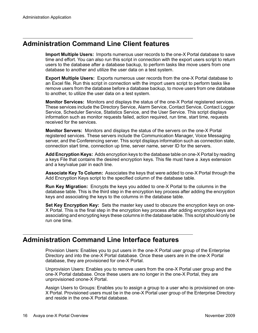# <span id="page-15-0"></span>**Administration Command Line Client features**

**Import Multiple Users:** Imports numerous user records to the one-X Portal database to save time and effort. You can also run this script in connection with the export users script to return users to the database after a database backup, to perform tasks like move users from one database to another and utilize the user data on a test system.

**Export Multiple Users:** Exports numerous user records from the one-X Portal database to an Excel file. Run this script in connection with the import users script to perform tasks like remove users from the database before a database backup, to move users from one database to another, to utilize the user data on a test system.

**Monitor Services:** Monitors and displays the status of the one-X Portal registered services. These services include the Directory Service, Alarm Service, Contact Service, Contact Logger Service, Scheduler Service, Statistics Service, and the User Service. This script displays information such as monitor requests failed, action required, run time, start time, requests received for the services.

**Monitor Servers:** Monitors and displays the status of the servers on the one-X Portal registered services. These servers include the Communication Manager, Voice Messaging server, and the Conferencing server. This script displays information such as connection state, connection start time, connection up time, server name, server ID for the servers.

**Add Encryption Keys:** Adds encryption keys to the database table on one-X Portal by reading a keys File that contains the desired encryption keys. This file must have a .keys extension and a key/value pair in each line.

**Associate Key To Column:** Associates the keys that were added to one-X Portal through the Add Encryption Keys script to the specified column of the database table.

**Run Key Migration:** Encrypts the keys you added to one-X Portal to the columns in the database table. This is the third step in the encryption key process after adding the encryption keys and associating the keys to the columns in the database table.

**Set Key Encryption Key:** Sets the master key used to obscure the encryption keys on one-X Portal. This is the final step in the encryption key process after adding encryption keys and associating and encrypting keys these columns in the database table. This script should only be run one time.

# **Administration Command Line Interface features**

Provision Users: Enables you to put users in the one-X Portal user group of the Enterprise Directory and into the one-X Portal database. Once these users are in the one-X Portal database, they are provisioned for one-X Portal.

Unprovision Users: Enables you to remove users from the one-X Portal user group and the one-X Portal database. Once these users are no longer in the one-X Portal, they are unprovisioned onone-X Portal.

Assign Users to Groups: Enables you to assign a group to a user who is provisioned on one-X Portal. Provisioned users must be in the one-X Portal user group of the Enterprise Directory and reside in the one-X Portal database.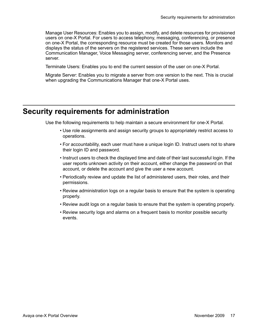<span id="page-16-0"></span>Manage User Resources: Enables you to assign, modify, and delete resources for provisioned users on one-X Portal. For users to access telephony, messaging, conferencing, or presence on one-X Portal, the corresponding resource must be created for those users. Monitors and displays the status of the servers on the registered services. These servers include the Communication Manager, Voice Messaging server, conferencing server, and the Presence server.

Terminate Users: Enables you to end the current session of the user on one-X Portal.

Migrate Server: Enables you to migrate a server from one version to the next. This is crucial when upgrading the Communications Manager that one-X Portal uses.

# **Security requirements for administration**

Use the following requirements to help maintain a secure environment for one-X Portal.

- Use role assignments and assign security groups to appropriately restrict access to operations.
- For accountability, each user must have a unique login ID. Instruct users not to share their login ID and password.
- Instruct users to check the displayed time and date of their last successful login. If the user reports unknown activity on their account, either change the password on that account, or delete the account and give the user a new account.
- Periodically review and update the list of administered users, their roles, and their permissions.
- Review administration logs on a regular basis to ensure that the system is operating properly.
- Review audit logs on a regular basis to ensure that the system is operating properly.
- Review security logs and alarms on a frequent basis to monitor possible security events.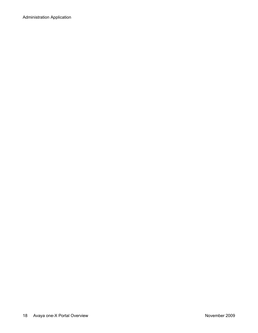Administration Application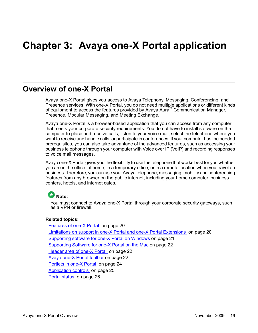# <span id="page-18-0"></span>**Overview of one-X Portal**

Avaya one-X Portal gives you access to Avaya Telephony, Messaging, Conferencing, and Presence services. With one-X Portal, you do not need multiple applications or different kinds of equipment to access the features provided by Avaya Aura™ Communication Manager, Presence, Modular Messaging, and Meeting Exchange.

Avaya one-X Portal is a browser-based application that you can access from any computer that meets your corporate security requirements. You do not have to install software on the computer to place and receive calls, listen to your voice mail, select the telephone where you want to receive and handle calls, or participate in conferences. If your computer has the needed prerequisites, you can also take advantage of the advanced features, such as accessing your business telephone through your computer with Voice over IP (VoIP) and recording responses to voice mail messages.

Avaya one-X Portal gives you the flexibility to use the telephone that works best for you whether you are in the office, at home, in a temporary office, or in a remote location when you travel on business. Therefore, you can use your Avaya telephone, messaging, mobility and conferencing features from any browser on the public internet, including your home computer, business centers, hotels, and internet cafes.

# **Note:**

You must connect to Avaya one-X Portal through your corporate security gateways, such as a VPN or firewall.

#### **Related topics:**

[Features](#page-19-0) of one-X Portal on page 20 Limitations on support in one-X Portal and one-X Portal [Extensions](#page-19-0) on page 20 [Supporting](#page-20-0) software for one-X Portal on Windows on page 21 [Supporting](#page-21-0) Software for one-X Portal on the Mac on page 22 [Header](#page-21-0) area of one-X Portal on page 22 Avaya one-X Portal [toolbar](#page-21-0) on page 22 [Portlets](#page-23-0) in one-X Portal on page 24 [Application](#page-24-0) controls</u> on page 25 Portal [status](#page-25-0) on page 26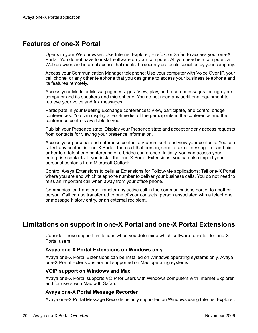# <span id="page-19-0"></span>**Features of one-X Portal**

Opens in your Web browser: Use Internet Explorer, Firefox, or Safari to access your one-X Portal. You do not have to install software on your computer. All you need is a computer, a Web browser, and internet access that meets the security protocols specified by your company.

Access your Communication Manager telephone: Use your computer with Voice Over IP, your cell phone, or any other telephone that you designate to access your business telephone and its features remotely.

Access your Modular Messaging messages: View, play, and record messages through your computer and its speakers and microphone. You do not need any additional equipment to retrieve your voice and fax messages.

Participate in your Meeting Exchange conferences: View, participate, and control bridge conferences. You can display a real-time list of the participants in the conference and the conference controls available to you.

Publish your Presence state: Display your Presence state and accept or deny access requests from contacts for viewing your presence information.

Access your personal and enterprise contacts: Search, sort, and view your contacts. You can select any contact in one-X Portal, then call that person, send a fax or message, or add him or her to a telephone conference or a bridge conference. Initially, you can access your enterprise contacts. If you install the one-X Portal Extensions, you can also import your personal contacts from Microsoft Outlook.

Control Avaya Extensions to cellular Extensions for Follow-Me applications: Tell one-X Portal where you are and which telephone number to deliver your business calls. You do not need to miss an important call when away from your office phone.

Communication transfers: Transfer any active call in the communications portlet to another person. Call can be transferred to one of your contacts, person associated with a telephone or message history entry, or an external recipient.

# **Limitations on support in one-X Portal and one-X Portal Extensions**

Consider these support limitations when you determine which software to install for one-X Portal users.

#### **Avaya one-X Portal Extensions on Windows only**

Avaya one-X Portal Extensions can be installed on Windows operating systems only. Avaya one-X Portal Extensions are not supported on Mac operating systems.

#### **VOIP support on Windows and Mac**

Avaya one-X Portal supports VOIP for users with Windows computers with Internet Explorer and for users with Mac with Safari.

#### **Avaya one-X Portal Message Recorder**

Avaya one-X Portal Message Recorder is only supported on Windows using Internet Explorer.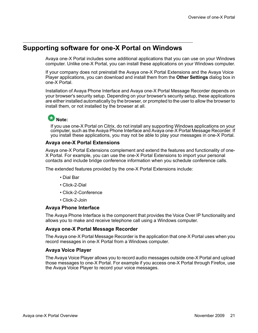# <span id="page-20-0"></span>**Supporting software for one-X Portal on Windows**

Avaya one-X Portal includes some additional applications that you can use on your Windows computer. Unlike one-X Portal, you can install these applications on your Windows computer.

If your company does not preinstall the Avaya one-X Portal Extensions and the Avaya Voice Player applications, you can download and install them from the **Other Settings** dialog box in one-X Portal.

Installation of Avaya Phone Interface and Avaya one-X Portal Message Recorder depends on your browser's security setup. Depending on your browser's security setup, these applications are either installed automatically by the browser, or prompted to the user to allow the browser to install them, or not installed by the browser at all.

# $\bullet$  Note:

If you use one-X Portal on Citrix, do not install any supporting Windows applications on your computer, such as the Avaya Phone Interface and Avaya one-X Portal Message Recorder. If you install these applications, you may not be able to play your messages in one-X Portal.

#### **Avaya one-X Portal Extensions**

Avaya one-X Portal Extensions complement and extend the features and functionality of one-X Portal. For example, you can use the one-X Portal Extensions to import your personal contacts and include bridge conference information when you schedule conference calls.

The extended features provided by the one-X Portal Extensions include:

- Dial Bar
- Click-2-Dial
- Click-2-Conference
- Click-2-Join

#### **Avaya Phone Interface**

The Avaya Phone Interface is the component that provides the Voice Over IP functionality and allows you to make and receive telephone call using a Windows computer.

#### **Avaya one-X Portal Message Recorder**

The Avaya one-X Portal Message Recorder is the application that one-X Portal uses when you record messages in one-X Portal from a Windows computer.

#### **Avaya Voice Player**

The Avaya Voice Player allows you to record audio messages outside one-X Portal and upload those messages to one-X Portal. For example if you access one-X Portal through Firefox, use the Avaya Voice Player to record your voice messages.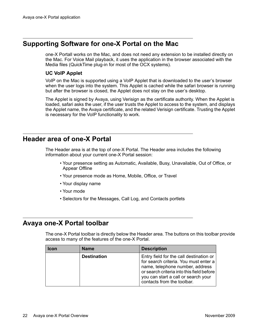# <span id="page-21-0"></span>**Supporting Software for one-X Portal on the Mac**

one-X Portall works on the Mac, and does not need any extension to be installed directly on the Mac. For Voice Mail playback, it uses the application in the browser associated with the Media files (QuickTime plug-in for most of the OCX systems).

#### **UC VoIP Applet**

VoIP on the Mac is supported using a VoIP Applet that is downloaded to the user's browser when the user logs into the system. This Applet is cached while the safari browser is running but after the browser is closed, the Applet does not stay on the user's desktop.

The Applet is signed by Avaya, using Verisign as the certificate authority. When the Applet is loaded, safari asks the user, if the user trusts the Applet to access to the system, and displays the Applet name, the Avaya certificate, and the related Verisign certificate. Trusting the Applet is necessary for the VoIP functionality to work.

# **Header area of one-X Portal**

The Header area is at the top of one-X Portal. The Header area includes the following information about your current one-X Portal session:

- Your presence setting as Automatic, Available, Busy, Unavailable, Out of Office, or Appear Offline
- Your presence mode as Home, Mobile, Office, or Travel
- Your display name
- Your mode
- Selectors for the Messages, Call Log, and Contacts portlets

# **Avaya one-X Portal toolbar**

The one-X Portal toolbar is directly below the Header area. The buttons on this toolbar provide access to many of the features of the one-X Portal.

| <b>Icon</b> | <b>Name</b>        | <b>Description</b>                                                                                                                                                                                                                    |
|-------------|--------------------|---------------------------------------------------------------------------------------------------------------------------------------------------------------------------------------------------------------------------------------|
|             | <b>Destination</b> | Entry field for the call destination or<br>for search criteria. You must enter a<br>name, telephone number, address<br>or search criteria into this field before<br>you can start a call or search your<br>contacts from the toolbar. |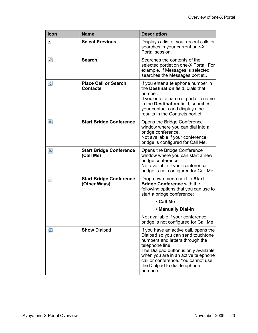<span id="page-22-0"></span>

| Icon                                                             | <b>Name</b>                                    | <b>Description</b>                                                                                                                                                                                                                                                                                 |
|------------------------------------------------------------------|------------------------------------------------|----------------------------------------------------------------------------------------------------------------------------------------------------------------------------------------------------------------------------------------------------------------------------------------------------|
| $\left[ \begin{array}{c} \blacktriangledown \end{array} \right]$ | <b>Select Previous</b>                         | Displays a list of your recent calls or<br>searches in your current one-X<br>Portal session.                                                                                                                                                                                                       |
| $\mathcal{S}$                                                    | <b>Search</b>                                  | Searches the contents of the<br>selected portlet on one-X Portal. For<br>example, if Messages is selected,<br>searches the Messages portlet                                                                                                                                                        |
| $\mathbf{C}$                                                     | <b>Place Call or Search</b><br><b>Contacts</b> | If you enter a telephone number in<br>the Destination field, dials that<br>number.<br>If you enter a name or part of a name<br>in the Destination field, searches<br>your contacts and displays the<br>results in the Contacts portlet.                                                            |
| ۰                                                                | <b>Start Bridge Conference</b>                 | Opens the Bridge Conference<br>window where you can dial into a<br>bridge conference.<br>Not available if your conference<br>bridge is configured for Call Me.                                                                                                                                     |
| $\circ$                                                          | <b>Start Bridge Conference</b><br>(Call Me)    | Opens the Bridge Conference<br>window where you can start a new<br>bridge conference.<br>Not available if your conference<br>bridge is not configured for Call Me.                                                                                                                                 |
| $\cdot$                                                          | <b>Start Bridge Conference</b><br>(Other Ways) | Drop-down menu next to Start<br><b>Bridge Conference with the</b><br>following options that you can use to<br>start a bridge conference:<br>. Call Me                                                                                                                                              |
|                                                                  |                                                | • Manually Dial-in                                                                                                                                                                                                                                                                                 |
|                                                                  |                                                | Not available if your conference<br>bridge is not configured for Call Me.                                                                                                                                                                                                                          |
| 囲                                                                | <b>Show Dialpad</b>                            | If you have an active call, opens the<br>Dialpad so you can send touchtone<br>numbers and letters through the<br>telephone line.<br>The Dialpad button is only available<br>when you are in an active telephone<br>call or conference. You cannot use<br>the Dialpad to dial telephone<br>numbers. |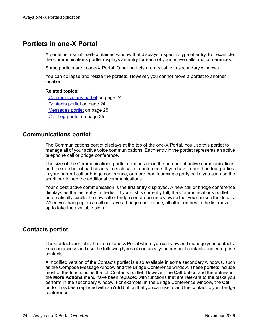# <span id="page-23-0"></span>**Portlets in one-X Portal**

A portlet is a small, self-contained window that displays a specific type of entry. For example, the Communications portlet displays an entry for each of your active calls and conferences.

Some portlets are in one-X Portal. Other portlets are available in secondary windows.

You can collapse and resize the portlets. However, you cannot move a portlet to another location.

#### **Related topics:**

Communications portlet on page 24 Contacts portlet on page 24 [Messages](#page-24-0) portlet on page 25 Call Log [portlet](#page-24-0) on page 25

#### **Communications portlet**

The Communications portlet displays at the top of the one-X Portal. You use this portlet to manage all of your active voice communications. Each entry in the portlet represents an active telephone call or bridge conference.

The size of the Communications portlet depends upon the number of active communications and the number of participants in each call or conference. If you have more than four parties in your current call or bridge conference, or more than four single party calls, you can use the scroll bar to see the additional communications.

Your oldest active communication is the first entry displayed. A new call or bridge conference displays as the last entry in the list. If your list is currently full, the Communications portlet automatically scrolls the new call or bridge conference into view so that you can see the details. When you hang up on a call or leave a bridge conference, all other entries in the list move up to take the available slots.

### **Contacts portlet**

The Contacts portlet is the area of one-X Portal where you can view and manage your contacts. You can access and use the following types of contacts: your personal contacts and enterprise contacts.

A modified version of the Contacts portlet is also available in some secondary windows, such as the Compose Message window and the Bridge Conference window. These portlets include most of the functions as the full Contacts portlet. However, the **Call** button and the entries in the **More Actions** menu have been replaced with functions that are relevant to the tasks you perform in the secondary window. For example, in the Bridge Conference window, the **Call** button has been replaced with an **Add** button that you can use to add the contact to your bridge conference.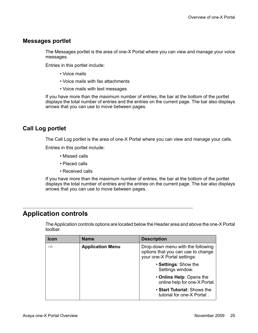### <span id="page-24-0"></span>**Messages portlet**

The Messages portlet is the area of one-X Portal where you can view and manage your voice messages.

Entries in this portlet include:

- Voice mails
- Voice mails with fax attachments
- Voice mails with text messages

If you have more than the maximum number of entries, the bar at the bottom of the portlet displays the total number of entries and the entries on the current page. The bar also displays arrows that you can use to move between pages.

### **Call Log portlet**

The Call Log portlet is the area of one-X Portal where you can view and manage your calls.

Entries in this portlet include:

- Missed calls
- Placed calls
- Received calls

If you have more than the maximum number of entries, the bar at the bottom of the portlet displays the total number of entries and the entries on the current page. The bar also displays arrows that you can use to move between pages.

# **Application controls**

The Application controls options are located below the Header area and above the one-X Portal toolbar.

| <b>Icon</b>        | <b>Name</b>             | <b>Description</b>                                                                                     |
|--------------------|-------------------------|--------------------------------------------------------------------------------------------------------|
| $\overline{\cdot}$ | <b>Application Menu</b> | Drop-down menu with the following<br>options that you can use to change<br>your one-X Portal settings: |
|                    |                         | • Settings: Show the<br>Settings window.                                                               |
|                    |                         | • Online Help: Opens the<br>online help for one-X Portal.                                              |
|                    |                         | • Start Tutorial: Shows the<br>tutorial for one-X Portal.                                              |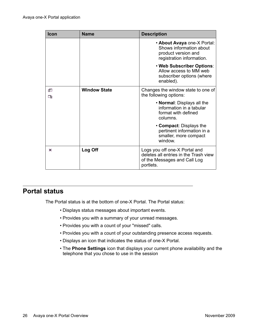<span id="page-25-0"></span>

| Icon        | <b>Name</b>         | <b>Description</b>                                                                                                  |
|-------------|---------------------|---------------------------------------------------------------------------------------------------------------------|
|             |                     | • About Avaya one-X Portal:<br>Shows information about<br>product version and<br>registration information.          |
|             |                     | . Web Subscriber Options:<br>Allow access to MM web<br>subscriber options (where<br>enabled).                       |
| ©<br>雨      | <b>Window State</b> | Changes the window state to one of<br>the following options:                                                        |
|             |                     | . Normal: Displays all the<br>information in a tabular<br>format with defined<br>columns.                           |
|             |                     | • Compact: Displays the<br>pertinent information in a<br>smaller, more compact<br>window.                           |
| $\mathbf x$ | Log Off             | Logs you off one-X Portal and<br>deletes all entries in the Trash view<br>of the Messages and Call Log<br>portlets. |

### **Portal status**

The Portal status is at the bottom of one-X Portal. The Portal status:

- Displays status messages about important events.
- Provides you with a summary of your unread messages.
- Provides you with a count of your "missed" calls.
- Provides you with a count of your outstanding presence access requests.
- Displays an icon that indicates the status of one-X Portal.
- The **Phone Settings** icon that displays your current phone availability and the telephone that you chose to use in the session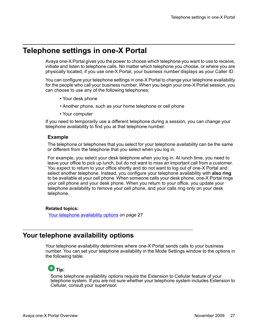# <span id="page-26-0"></span>**Telephone settings in one-X Portal**

Avaya one-X Portal gives you the power to choose which telephone you want to use to receive, initiate and listen to telephone calls. No matter which telephone you choose, or where you are physically located, if you use one-X Portal, your business number displays as your Caller ID.

You can configure your telephone settings in one-X Portal to change your telephone availability for the people who call your business number. When you begin your one-X Portal session, you can choose to use any of the following telephones:

- Your desk phone
- Another phone, such as your home telephone or cell phone
- Your computer

If you need to temporarily use a different telephone during a session, you can change your telephone availability to find you at that telephone number.

#### **Example**

The telephone or telephones that you select for your telephone availability can be the same or different from the telephone that you select when you log in.

For example, you select your desk telephone when you log in. At lunch time, you need to leave your office to pick up lunch, but do not want to miss an important call from a customer. You expect to return to your office shortly and do not want to log out of one-X Portal and select another telephone. Instead, you configure your telephone availability with **also ring** to be available at your cell phone. When someone calls your desk phone, one-X Portal rings your cell phone and your desk phone. When you return to your office, you update your telephone availability to remove your cell phone, and your calls ring only on your desk telephone.

#### **Related topics:**

Your telephone availability options on page 27

# **Your telephone availability options**

Your telephone availability determines where one-X Portal sends calls to your business number. You can set your telephone availability in the Mode Settings window to the options in the following table.

# **Tip:**

Some telephone availability options require the Extension to Cellular feature of your telephone system. If you are not sure whether your telephone system includes Extension to Cellular, consult your supervisor.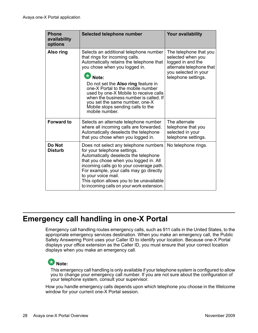<span id="page-27-0"></span>

| <b>Phone</b><br>availability<br>options | Selected telephone number                                                                                                                                                                                                                                                                                                                                       | Your availability                                                                                                                           |
|-----------------------------------------|-----------------------------------------------------------------------------------------------------------------------------------------------------------------------------------------------------------------------------------------------------------------------------------------------------------------------------------------------------------------|---------------------------------------------------------------------------------------------------------------------------------------------|
| Also ring                               | Selects an additional telephone number<br>that rings for incoming calls.<br>Automatically retains the telephone that<br>you chose when you logged in.<br>$\star$<br>Note:                                                                                                                                                                                       | The telephone that you<br>selected when you<br>logged in and the<br>alternate telephone that<br>you selected in your<br>telephone settings. |
|                                         | Do not set the Also ring feature in<br>one-X Portal to the mobile number<br>used by one-X Mobile to receive calls<br>when the business number is called. If<br>you set the same number, one-X<br>Mobile stops sending calls to the<br>mobile number.                                                                                                            |                                                                                                                                             |
| <b>Forward to</b>                       | Selects an alternate telephone number<br>where all incoming calls are forwarded.<br>Automatically deselects the telephone<br>that you chose when you logged in.                                                                                                                                                                                                 | The alternate<br>telephone that you<br>selected in your<br>telephone settings.                                                              |
| <b>Do Not</b><br><b>Disturb</b>         | Does not select any telephone numbers<br>for your telephone settings.<br>Automatically deselects the telephone<br>that you chose when you logged in. All<br>incoming calls go to your coverage path.<br>For example, your calls may go directly<br>to your voice mail.<br>This option allows you to be unavailable<br>to incoming calls on your work extension. | No telephone rings.                                                                                                                         |

# **Emergency call handling in one-X Portal**

Emergency call handling routes emergency calls, such as 911 calls in the United States, to the appropriate emergency services destination. When you make an emergency call, the Public Safety Answering Point uses your Caller ID to identify your location. Because one-X Portal displays your office extension as the Caller ID, you must ensure that your correct location displays when you make an emergency call.

# $\bullet$  Note:

This emergency call handling is only available if your telephone system is configured to allow you to change your emergency call number. If you are not sure about the configuration of your telephone system, consult your supervisor.

How you handle emergency calls depends upon which telephone you choose in the Welcome window for your current one-X Portal session.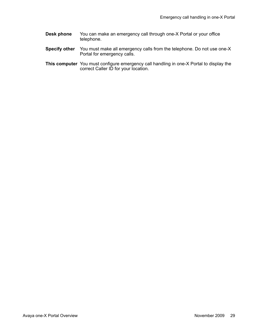- **Desk phone** You can make an emergency call through one-X Portal or your office telephone.
- **Specify other** You must make all emergency calls from the telephone. Do not use one-X Portal for emergency calls.
- **This computer** You must configure emergency call handling in one-X Portal to display the correct Caller ID for your location.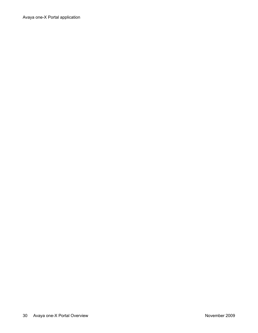Avaya one-X Portal application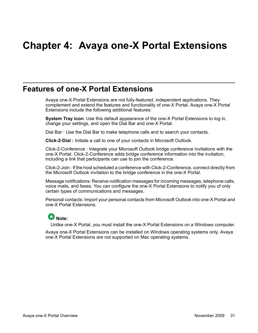# <span id="page-30-0"></span>**Features of one-X Portal Extensions**

Avaya one-X Portal Extensions are not fully-featured, independent applications. They complement and extend the features and functionality of one-X Portal. Avaya one-X Portal Extensions include the following additional features:

**System Tray icon**: Use this default appearance of the one-X Portal Extensions to log in, change your settings, and open the Dial Bar and one-X Portal.

Dial Bar : Use the Dial Bar to make telephone calls and to search your contacts.

**Click-2-Dial :** Initiate a call to one of your contacts in Microsoft Outlook.

Click-2-Conference : Integrate your Microsoft Outlook bridge conference invitations with the one-X Portal. Click-2-Conference adds bridge conference information into the invitation, including a link that participants can use to join the conference.

Click-2-Join : If the host scheduled a conference with Click-2-Conference, connect directly from the Microsoft Outlook invitation to the bridge conference in the one-X Portal.

Message notifications: Receive notification messages for incoming messages, telephone calls, voice mails, and faxes. You can configure the one-X Portal Extensions to notify you of only certain types of communications and messages.

Personal contacts: Import your personal contacts from Microsoft Outlook into one-X Portal and one-X Portal Extensions.

# **Note:**

Unlike one-X Portal, you must install the one-X Portal Extensions on a Windows computer.

Avaya one-X Portal Extensions can be installed on Windows operating systems only. Avaya one-X Portal Extensions are not supported on Mac operating systems.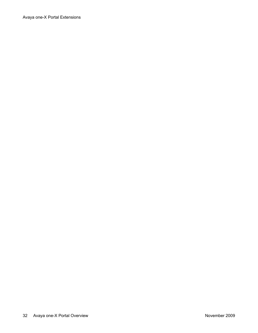Avaya one-X Portal Extensions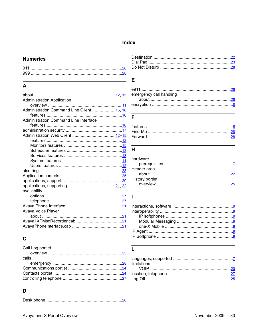### Index

### <span id="page-32-0"></span>**Numerics**

| .91 |  |
|-----|--|
|     |  |

### $\mathbf{A}$

| <b>Administration Application</b>         |  |
|-------------------------------------------|--|
|                                           |  |
| Administration Command Line Client 15, 16 |  |
|                                           |  |
| Administration Command Line Interface     |  |
|                                           |  |
|                                           |  |
|                                           |  |
|                                           |  |
|                                           |  |
|                                           |  |
|                                           |  |
|                                           |  |
|                                           |  |
|                                           |  |
|                                           |  |
|                                           |  |
|                                           |  |
|                                           |  |
| availability                              |  |
|                                           |  |
|                                           |  |
|                                           |  |
| Avaya Voice Player                        |  |
|                                           |  |
|                                           |  |
|                                           |  |
|                                           |  |

### $\overline{c}$

| Call Log portlet |  |
|------------------|--|
| calls            |  |
|                  |  |
|                  |  |
|                  |  |
|                  |  |
|                  |  |

### $\mathsf{E}$

| emergency call handling |  |
|-------------------------|--|
|                         |  |
|                         |  |
|                         |  |

#### $\mathsf F$

### $H$

| hardware        |  |  |
|-----------------|--|--|
|                 |  |  |
| Header area     |  |  |
|                 |  |  |
| History portlet |  |  |
|                 |  |  |

#### $\mathbf{I}$

### L

| <b>limitations</b> |  |
|--------------------|--|
|                    |  |
|                    |  |
|                    |  |

### $\mathbf D$